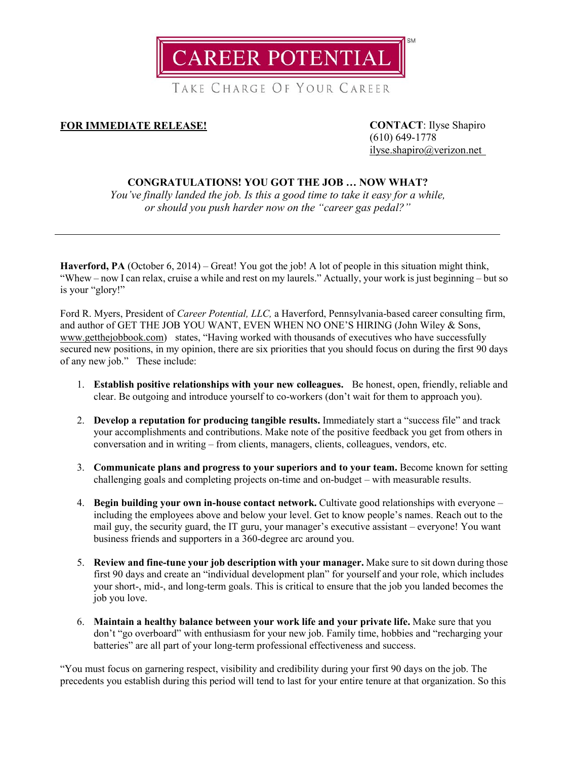**AREER POTENTIAL** 

TAKE CHARGE OF YOUR CAREER

## **FOR IMMEDIATE RELEASE! CONTACT**: Ilyse Shapiro

(610) 649-1778 [ilyse.shapiro@verizon.net](mailto:ilyse.shapiro@verizon.net)

## **CONGRATULATIONS! YOU GOT THE JOB … NOW WHAT?**

*You've finally landed the job. Is this a good time to take it easy for a while, or should you push harder now on the "career gas pedal?"*

**Haverford, PA** (October 6, 2014) – Great! You got the job! A lot of people in this situation might think, "Whew – now I can relax, cruise a while and rest on my laurels." Actually, your work is just beginning – but so is your "glory!"

Ford R. Myers, President of *Career Potential, LLC,* a Haverford, Pennsylvania-based career consulting firm, and author of GET THE JOB YOU WANT, EVEN WHEN NO ONE'S HIRING (John Wiley & Sons, [www.getthejobbook.com\)](http://www.getthejobbook.com/) states, "Having worked with thousands of executives who have successfully secured new positions, in my opinion, there are six priorities that you should focus on during the first 90 days of any new job." These include:

- 1. **Establish positive relationships with your new colleagues.** Be honest, open, friendly, reliable and clear. Be outgoing and introduce yourself to co-workers (don't wait for them to approach you).
- 2. **Develop a reputation for producing tangible results.** Immediately start a "success file" and track your accomplishments and contributions. Make note of the positive feedback you get from others in conversation and in writing – from clients, managers, clients, colleagues, vendors, etc.
- 3. **Communicate plans and progress to your superiors and to your team.** Become known for setting challenging goals and completing projects on-time and on-budget – with measurable results.
- 4. **Begin building your own in-house contact network.** Cultivate good relationships with everyone including the employees above and below your level. Get to know people's names. Reach out to the mail guy, the security guard, the IT guru, your manager's executive assistant – everyone! You want business friends and supporters in a 360-degree arc around you.
- 5. **Review and fine-tune your job description with your manager.** Make sure to sit down during those first 90 days and create an "individual development plan" for yourself and your role, which includes your short-, mid-, and long-term goals. This is critical to ensure that the job you landed becomes the job you love.
- 6. **Maintain a healthy balance between your work life and your private life.** Make sure that you don't "go overboard" with enthusiasm for your new job. Family time, hobbies and "recharging your batteries" are all part of your long-term professional effectiveness and success.

"You must focus on garnering respect, visibility and credibility during your first 90 days on the job. The precedents you establish during this period will tend to last for your entire tenure at that organization. So this